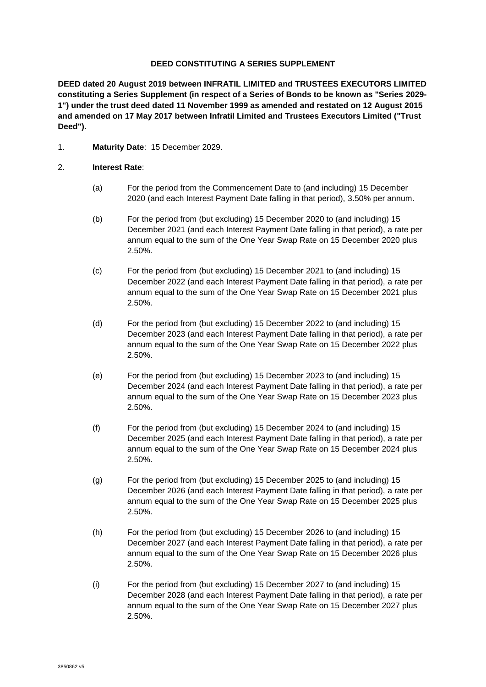#### **DEED CONSTITUTING A SERIES SUPPLEMENT**

**DEED dated 20 August 2019 between INFRATIL LIMITED and TRUSTEES EXECUTORS LIMITED constituting a Series Supplement (in respect of a Series of Bonds to be known as "Series 2029- 1") under the trust deed dated 11 November 1999 as amended and restated on 12 August 2015 and amended on 17 May 2017 between Infratil Limited and Trustees Executors Limited ("Trust Deed").**

1. **Maturity Date**: 15 December 2029.

#### 2. **Interest Rate**:

- (a) For the period from the Commencement Date to (and including) 15 December 2020 (and each Interest Payment Date falling in that period), 3.50% per annum.
- (b) For the period from (but excluding) 15 December 2020 to (and including) 15 December 2021 (and each Interest Payment Date falling in that period), a rate per annum equal to the sum of the One Year Swap Rate on 15 December 2020 plus 2.50%.
- (c) For the period from (but excluding) 15 December 2021 to (and including) 15 December 2022 (and each Interest Payment Date falling in that period), a rate per annum equal to the sum of the One Year Swap Rate on 15 December 2021 plus 2.50%.
- (d) For the period from (but excluding) 15 December 2022 to (and including) 15 December 2023 (and each Interest Payment Date falling in that period), a rate per annum equal to the sum of the One Year Swap Rate on 15 December 2022 plus 2.50%.
- (e) For the period from (but excluding) 15 December 2023 to (and including) 15 December 2024 (and each Interest Payment Date falling in that period), a rate per annum equal to the sum of the One Year Swap Rate on 15 December 2023 plus 2.50%.
- (f) For the period from (but excluding) 15 December 2024 to (and including) 15 December 2025 (and each Interest Payment Date falling in that period), a rate per annum equal to the sum of the One Year Swap Rate on 15 December 2024 plus 2.50%.
- (g) For the period from (but excluding) 15 December 2025 to (and including) 15 December 2026 (and each Interest Payment Date falling in that period), a rate per annum equal to the sum of the One Year Swap Rate on 15 December 2025 plus 2.50%.
- (h) For the period from (but excluding) 15 December 2026 to (and including) 15 December 2027 (and each Interest Payment Date falling in that period), a rate per annum equal to the sum of the One Year Swap Rate on 15 December 2026 plus 2.50%.
- (i) For the period from (but excluding) 15 December 2027 to (and including) 15 December 2028 (and each Interest Payment Date falling in that period), a rate per annum equal to the sum of the One Year Swap Rate on 15 December 2027 plus 2.50%.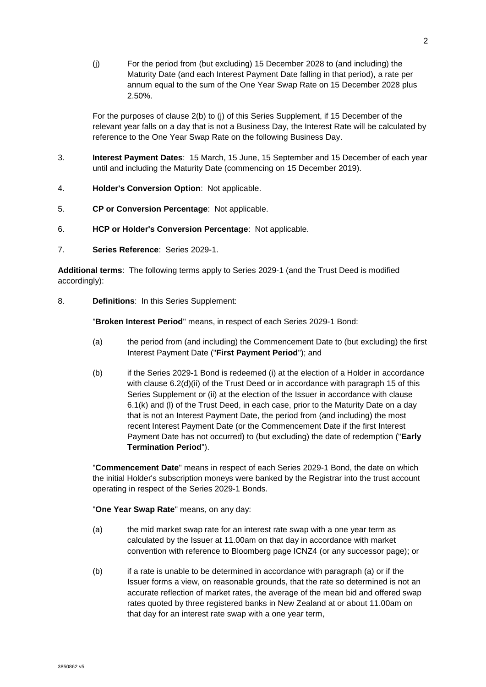(j) For the period from (but excluding) 15 December 2028 to (and including) the Maturity Date (and each Interest Payment Date falling in that period), a rate per annum equal to the sum of the One Year Swap Rate on 15 December 2028 plus 2.50%.

For the purposes of clause 2(b) to (j) of this Series Supplement, if 15 December of the relevant year falls on a day that is not a Business Day, the Interest Rate will be calculated by reference to the One Year Swap Rate on the following Business Day.

- 3. **Interest Payment Dates**: 15 March, 15 June, 15 September and 15 December of each year until and including the Maturity Date (commencing on 15 December 2019).
- 4. **Holder's Conversion Option**: Not applicable.
- 5. **CP or Conversion Percentage**: Not applicable.
- 6. **HCP or Holder's Conversion Percentage**: Not applicable.
- 7. **Series Reference**: Series 2029-1.

**Additional terms**: The following terms apply to Series 2029-1 (and the Trust Deed is modified accordingly):

8. **Definitions**: In this Series Supplement:

"**Broken Interest Period**" means, in respect of each Series 2029-1 Bond:

- (a) the period from (and including) the Commencement Date to (but excluding) the first Interest Payment Date ("**First Payment Period**"); and
- (b) if the Series 2029-1 Bond is redeemed (i) at the election of a Holder in accordance with clause 6.2(d)(ii) of the Trust Deed or in accordance with paragraph [15](#page--1-0) of this Series Supplement or (ii) at the election of the Issuer in accordance with clause 6.1(k) and (l) of the Trust Deed, in each case, prior to the Maturity Date on a day that is not an Interest Payment Date, the period from (and including) the most recent Interest Payment Date (or the Commencement Date if the first Interest Payment Date has not occurred) to (but excluding) the date of redemption ("**Early Termination Period**").

"**Commencement Date**" means in respect of each Series 2029-1 Bond, the date on which the initial Holder's subscription moneys were banked by the Registrar into the trust account operating in respect of the Series 2029-1 Bonds.

"**One Year Swap Rate**" means, on any day:

- (a) the mid market swap rate for an interest rate swap with a one year term as calculated by the Issuer at 11.00am on that day in accordance with market convention with reference to Bloomberg page ICNZ4 (or any successor page); or
- (b) if a rate is unable to be determined in accordance with paragraph (a) or if the Issuer forms a view, on reasonable grounds, that the rate so determined is not an accurate reflection of market rates, the average of the mean bid and offered swap rates quoted by three registered banks in New Zealand at or about 11.00am on that day for an interest rate swap with a one year term,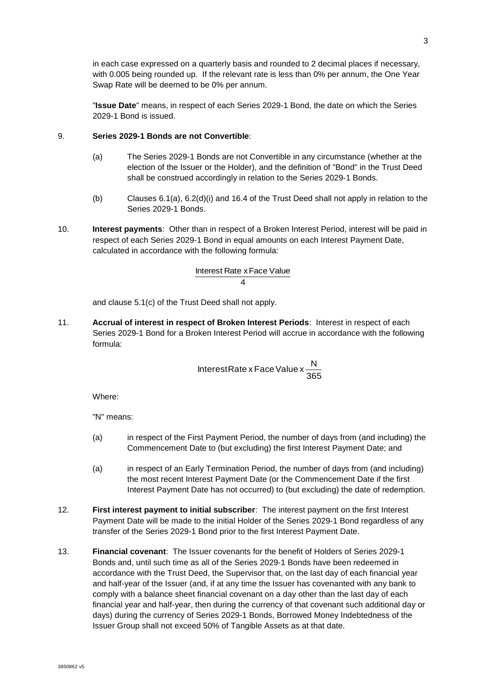in each case expressed on a quarterly basis and rounded to 2 decimal places if necessary, with 0.005 being rounded up. If the relevant rate is less than 0% per annum, the One Year Swap Rate will be deemed to be 0% per annum.

"**Issue Date**" means, in respect of each Series 2029-1 Bond, the date on which the Series 2029-1 Bond is issued.

### 9. **Series 2029-1 Bonds are not Convertible**:

- (a) The Series 2029-1 Bonds are not Convertible in any circumstance (whether at the election of the Issuer or the Holder), and the definition of "Bond" in the Trust Deed shall be construed accordingly in relation to the Series 2029-1 Bonds.
- (b) Clauses 6.1(a), 6.2(d)(i) and 16.4 of the Trust Deed shall not apply in relation to the Series 2029-1 Bonds.
- 10. **Interest payments**: Other than in respect of a Broken Interest Period, interest will be paid in respect of each Series 2029-1 Bond in equal amounts on each Interest Payment Date, calculated in accordance with the following formula:

# 4 Interest Rate x Face Value

and clause 5.1(c) of the Trust Deed shall not apply.

11. **Accrual of interest in respect of Broken Interest Periods**: Interest in respect of each Series 2029-1 Bond for a Broken Interest Period will accrue in accordance with the following formula:

$$
InterestRate x Face Value x \frac{N}{365}
$$

Where:

"N" means:

- (a) in respect of the First Payment Period, the number of days from (and including) the Commencement Date to (but excluding) the first Interest Payment Date; and
- (a) in respect of an Early Termination Period, the number of days from (and including) the most recent Interest Payment Date (or the Commencement Date if the first Interest Payment Date has not occurred) to (but excluding) the date of redemption.
- 12. **First interest payment to initial subscriber**: The interest payment on the first Interest Payment Date will be made to the initial Holder of the Series 2029-1 Bond regardless of any transfer of the Series 2029-1 Bond prior to the first Interest Payment Date.
- 13. **Financial covenant**: The Issuer covenants for the benefit of Holders of Series 2029-1 Bonds and, until such time as all of the Series 2029-1 Bonds have been redeemed in accordance with the Trust Deed, the Supervisor that, on the last day of each financial year and half-year of the Issuer (and, if at any time the Issuer has covenanted with any bank to comply with a balance sheet financial covenant on a day other than the last day of each financial year and half-year, then during the currency of that covenant such additional day or days) during the currency of Series 2029-1 Bonds, Borrowed Money Indebtedness of the Issuer Group shall not exceed 50% of Tangible Assets as at that date.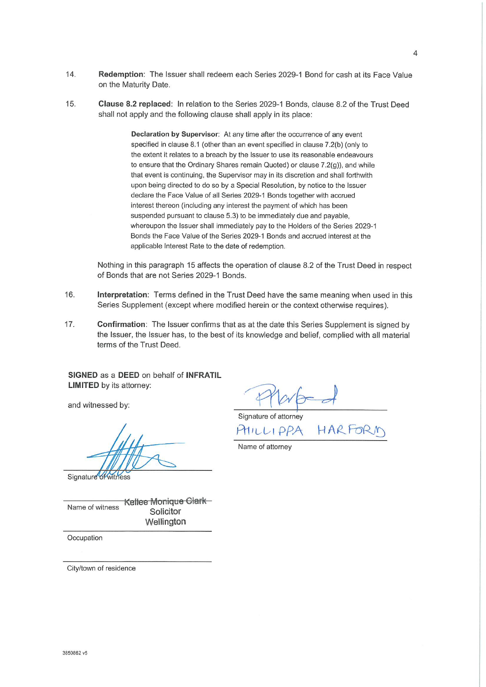- $14.$ Redemption: The Issuer shall redeem each Series 2029-1 Bond for cash at its Face Value on the Maturity Date.
- 15. Clause 8.2 replaced: In relation to the Series 2029-1 Bonds, clause 8.2 of the Trust Deed shall not apply and the following clause shall apply in its place:

Declaration by Supervisor: At any time after the occurrence of any event specified in clause 8.1 (other than an event specified in clause 7.2(b) (only to the extent it relates to a breach by the Issuer to use its reasonable endeavours to ensure that the Ordinary Shares remain Quoted) or clause 7.2(g)), and while that event is continuing, the Supervisor may in its discretion and shall forthwith upon being directed to do so by a Special Resolution, by notice to the Issuer declare the Face Value of all Series 2029-1 Bonds together with accrued interest thereon (including any interest the payment of which has been suspended pursuant to clause 5.3) to be immediately due and payable. whereupon the Issuer shall immediately pay to the Holders of the Series 2029-1 Bonds the Face Value of the Series 2029-1 Bonds and accrued interest at the applicable Interest Rate to the date of redemption.

Nothing in this paragraph 15 affects the operation of clause 8.2 of the Trust Deed in respect of Bonds that are not Series 2029-1 Bonds.

- 16. Interpretation: Terms defined in the Trust Deed have the same meaning when used in this Series Supplement (except where modified herein or the context otherwise requires).
- $17<sub>1</sub>$ Confirmation: The Issuer confirms that as at the date this Series Supplement is signed by the Issuer, the Issuer has, to the best of its knowledge and belief, complied with all material terms of the Trust Deed.

SIGNED as a DEED on behalf of INFRATIL **LIMITED** by its attorney:

and witnessed by:

Signature of witness

Kellee Monique Clark Name of witness Solicitor Wellington

Occupation

City/town of residence

Signature of attorney

HARF PHILLIPPA

Name of attorney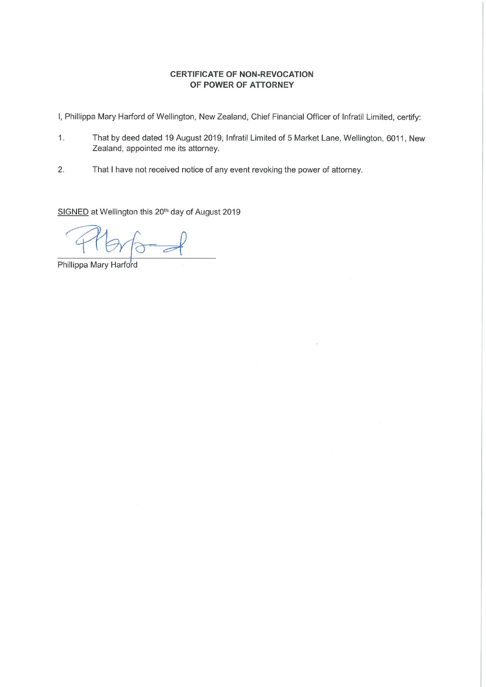## **CERTIFICATE OF NON-REVOCATION** OF POWER OF ATTORNEY

I, Phillippa Mary Harford of Wellington, New Zealand, Chief Financial Officer of Infratil Limited, certify:

- That by deed dated 19 August 2019, Infratil Limited of 5 Market Lane, Wellington, 6011, New  $1.$ Zealand, appointed me its attorney.
- $2.$ That I have not received notice of any event revoking the power of attorney.

SIGNED at Wellington this 20<sup>th</sup> day of August 2019

 $\overline{a}$ 

Phillippa Mary Harford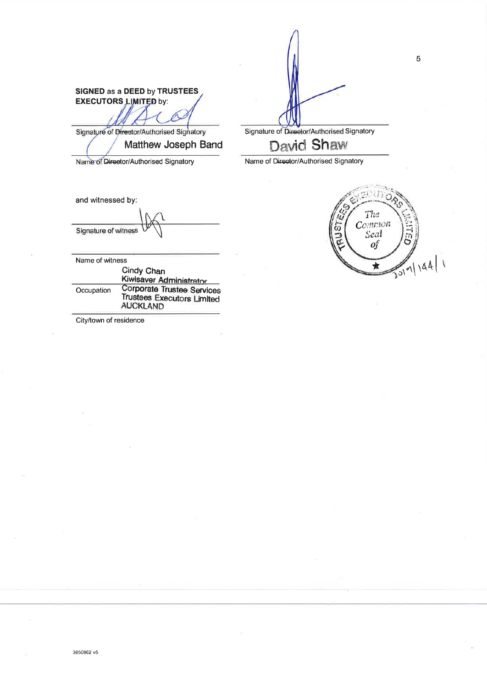SIGNED as a DEED by TRUSTEES **EXECUTORS LIMITED by:** 

Signature of Director/Authorised Signatory Matthew Joseph Band

Name of Director/Authorised Signatory

and witnessed by:

Signature of witness

Name of witness

|            | Cindy Chan<br>Kiwisaver Administrator                                              |
|------------|------------------------------------------------------------------------------------|
| Occupation | Corporate Trustee Services<br><b>Trustees Executors Limited</b><br><b>AUCKLAND</b> |

City/town of residence

Signature of Director/Authorised Signatory

**David Shaw** 

Name of Director/Authorised Signatory